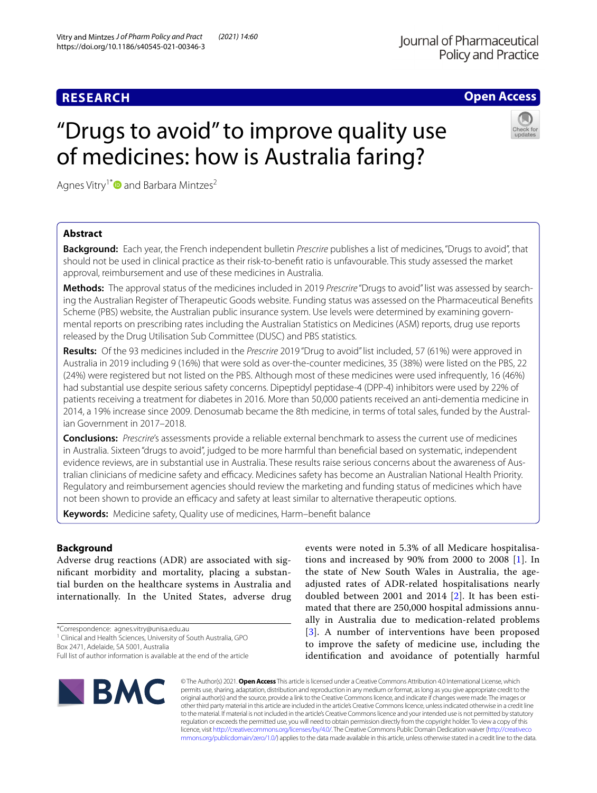"Drugs to avoid" to improve quality use

of medicines: how is Australia faring?

# **RESEARCH**

# **Open Access**



# Agnes Vitry<sup>1[\\*](http://orcid.org/0000-0003-1091-6453)</sup> and Barbara Mintzes<sup>2</sup>

# **Abstract**

**Background:** Each year, the French independent bulletin *Prescrire* publishes a list of medicines, "Drugs to avoid", that should not be used in clinical practice as their risk-to-beneft ratio is unfavourable. This study assessed the market approval, reimbursement and use of these medicines in Australia.

**Methods:** The approval status of the medicines included in 2019 *Prescrire* "Drugs to avoid" list was assessed by searching the Australian Register of Therapeutic Goods website. Funding status was assessed on the Pharmaceutical Benefts Scheme (PBS) website, the Australian public insurance system. Use levels were determined by examining governmental reports on prescribing rates including the Australian Statistics on Medicines (ASM) reports, drug use reports released by the Drug Utilisation Sub Committee (DUSC) and PBS statistics.

**Results:** Of the 93 medicines included in the *Prescrire* 2019 "Drug to avoid" list included, 57 (61%) were approved in Australia in 2019 including 9 (16%) that were sold as over-the-counter medicines, 35 (38%) were listed on the PBS, 22 (24%) were registered but not listed on the PBS. Although most of these medicines were used infrequently, 16 (46%) had substantial use despite serious safety concerns. Dipeptidyl peptidase-4 (DPP-4) inhibitors were used by 22% of patients receiving a treatment for diabetes in 2016. More than 50,000 patients received an anti-dementia medicine in 2014, a 19% increase since 2009. Denosumab became the 8th medicine, in terms of total sales, funded by the Australian Government in 2017–2018.

**Conclusions:** *Prescrire*'s assessments provide a reliable external benchmark to assess the current use of medicines in Australia. Sixteen "drugs to avoid", judged to be more harmful than benefcial based on systematic, independent evidence reviews, are in substantial use in Australia. These results raise serious concerns about the awareness of Australian clinicians of medicine safety and efficacy. Medicines safety has become an Australian National Health Priority. Regulatory and reimbursement agencies should review the marketing and funding status of medicines which have not been shown to provide an efficacy and safety at least similar to alternative therapeutic options.

**Keywords:** Medicine safety, Quality use of medicines, Harm–beneft balance

# **Background**

Adverse drug reactions (ADR) are associated with signifcant morbidity and mortality, placing a substantial burden on the healthcare systems in Australia and internationally. In the United States, adverse drug

\*Correspondence: agnes.vitry@unisa.edu.au

<sup>1</sup> Clinical and Health Sciences, University of South Australia, GPO

Box 2471, Adelaide, SA 5001, Australia

adjusted rates of ADR-related hospitalisations nearly doubled between 2001 and 2014 [[2](#page-7-1)]. It has been estimated that there are 250,000 hospital admissions annually in Australia due to medication-related problems [[3](#page-7-2)]. A number of interventions have been proposed to improve the safety of medicine use, including the identifcation and avoidance of potentially harmful

events were noted in 5.3% of all Medicare hospitalisations and increased by 90% from 2000 to 2008 [\[1](#page-7-0)]. In the state of New South Wales in Australia, the age-



© The Author(s) 2021. **Open Access** This article is licensed under a Creative Commons Attribution 4.0 International License, which permits use, sharing, adaptation, distribution and reproduction in any medium or format, as long as you give appropriate credit to the original author(s) and the source, provide a link to the Creative Commons licence, and indicate if changes were made. The images or other third party material in this article are included in the article's Creative Commons licence, unless indicated otherwise in a credit line to the material. If material is not included in the article's Creative Commons licence and your intended use is not permitted by statutory regulation or exceeds the permitted use, you will need to obtain permission directly from the copyright holder. To view a copy of this licence, visit [http://creativecommons.org/licenses/by/4.0/.](http://creativecommons.org/licenses/by/4.0/) The Creative Commons Public Domain Dedication waiver ([http://creativeco](http://creativecommons.org/publicdomain/zero/1.0/) [mmons.org/publicdomain/zero/1.0/](http://creativecommons.org/publicdomain/zero/1.0/)) applies to the data made available in this article, unless otherwise stated in a credit line to the data.

Full list of author information is available at the end of the article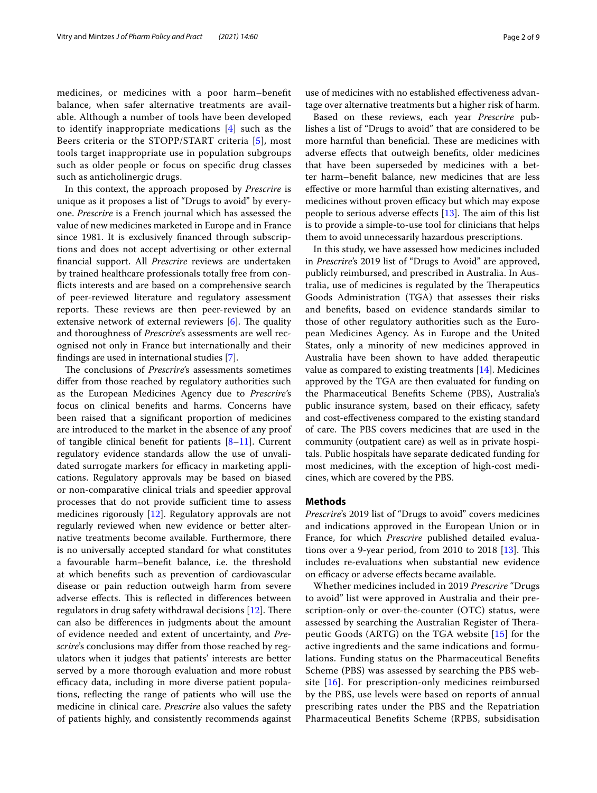medicines, or medicines with a poor harm–beneft balance, when safer alternative treatments are available. Although a number of tools have been developed to identify inappropriate medications [[4\]](#page-7-3) such as the Beers criteria or the STOPP/START criteria [[5](#page-7-4)], most tools target inappropriate use in population subgroups such as older people or focus on specifc drug classes such as anticholinergic drugs.

In this context, the approach proposed by *Prescrire* is unique as it proposes a list of "Drugs to avoid" by everyone. *Prescrire* is a French journal which has assessed the value of new medicines marketed in Europe and in France since 1981. It is exclusively fnanced through subscriptions and does not accept advertising or other external fnancial support. All *Prescrire* reviews are undertaken by trained healthcare professionals totally free from conficts interests and are based on a comprehensive search of peer-reviewed literature and regulatory assessment reports. These reviews are then peer-reviewed by an extensive network of external reviewers  $[6]$  $[6]$ . The quality and thoroughness of *Prescrire*'s assessments are well recognised not only in France but internationally and their fndings are used in international studies [[7\]](#page-7-6).

The conclusions of *Prescrire's* assessments sometimes difer from those reached by regulatory authorities such as the European Medicines Agency due to *Prescrire'*s focus on clinical benefts and harms. Concerns have been raised that a signifcant proportion of medicines are introduced to the market in the absence of any proof of tangible clinical benefit for patients  $[8-11]$  $[8-11]$  $[8-11]$ . Current regulatory evidence standards allow the use of unvalidated surrogate markers for efficacy in marketing applications. Regulatory approvals may be based on biased or non-comparative clinical trials and speedier approval processes that do not provide sufficient time to assess medicines rigorously [\[12](#page-7-9)]. Regulatory approvals are not regularly reviewed when new evidence or better alternative treatments become available. Furthermore, there is no universally accepted standard for what constitutes a favourable harm–beneft balance, i.e. the threshold at which benefts such as prevention of cardiovascular disease or pain reduction outweigh harm from severe adverse effects. This is reflected in differences between regulators in drug safety withdrawal decisions  $[12]$  $[12]$ . There can also be diferences in judgments about the amount of evidence needed and extent of uncertainty, and *Prescrire*'s conclusions may difer from those reached by regulators when it judges that patients' interests are better served by a more thorough evaluation and more robust efficacy data, including in more diverse patient populations, refecting the range of patients who will use the medicine in clinical care. *Prescrire* also values the safety of patients highly, and consistently recommends against

use of medicines with no established effectiveness advantage over alternative treatments but a higher risk of harm.

Based on these reviews, each year *Prescrire* publishes a list of "Drugs to avoid" that are considered to be more harmful than beneficial. These are medicines with adverse efects that outweigh benefts, older medicines that have been superseded by medicines with a better harm–beneft balance, new medicines that are less efective or more harmful than existing alternatives, and medicines without proven efficacy but which may expose people to serious adverse effects  $[13]$  $[13]$  $[13]$ . The aim of this list is to provide a simple-to-use tool for clinicians that helps them to avoid unnecessarily hazardous prescriptions.

In this study, we have assessed how medicines included in *Prescrire*'s 2019 list of "Drugs to Avoid" are approved, publicly reimbursed, and prescribed in Australia. In Australia, use of medicines is regulated by the Therapeutics Goods Administration (TGA) that assesses their risks and benefts, based on evidence standards similar to those of other regulatory authorities such as the European Medicines Agency. As in Europe and the United States, only a minority of new medicines approved in Australia have been shown to have added therapeutic value as compared to existing treatments [\[14](#page-7-11)]. Medicines approved by the TGA are then evaluated for funding on the Pharmaceutical Benefts Scheme (PBS), Australia's public insurance system, based on their efficacy, safety and cost-efectiveness compared to the existing standard of care. The PBS covers medicines that are used in the community (outpatient care) as well as in private hospitals. Public hospitals have separate dedicated funding for most medicines, with the exception of high-cost medicines, which are covered by the PBS.

### **Methods**

*Prescrire*'s 2019 list of "Drugs to avoid" covers medicines and indications approved in the European Union or in France, for which *Prescrire* published detailed evaluations over a 9-year period, from  $2010$  to  $2018$   $[13]$  $[13]$  $[13]$ . This includes re-evaluations when substantial new evidence on efficacy or adverse effects became available.

Whether medicines included in 2019 *Prescrire* "Drugs to avoid" list were approved in Australia and their prescription-only or over-the-counter (OTC) status, were assessed by searching the Australian Register of Therapeutic Goods (ARTG) on the TGA website [[15\]](#page-7-12) for the active ingredients and the same indications and formulations. Funding status on the Pharmaceutical Benefts Scheme (PBS) was assessed by searching the PBS website [[16](#page-8-0)]. For prescription-only medicines reimbursed by the PBS, use levels were based on reports of annual prescribing rates under the PBS and the Repatriation Pharmaceutical Benefts Scheme (RPBS, subsidisation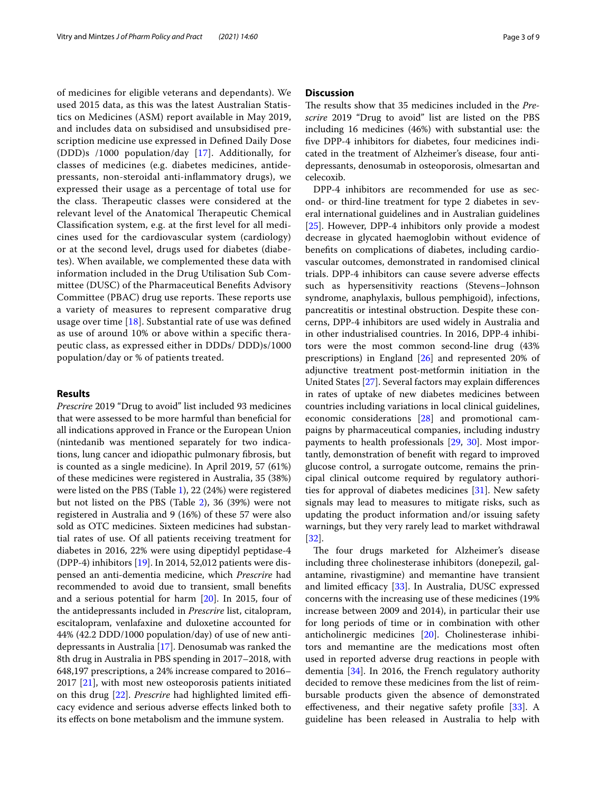of medicines for eligible veterans and dependants). We used 2015 data, as this was the latest Australian Statistics on Medicines (ASM) report available in May 2019, and includes data on subsidised and unsubsidised prescription medicine use expressed in Defned Daily Dose (DDD)s /1000 population/day [\[17\]](#page-8-1). Additionally, for classes of medicines (e.g. diabetes medicines, antidepressants, non-steroidal anti-infammatory drugs), we expressed their usage as a percentage of total use for the class. Therapeutic classes were considered at the relevant level of the Anatomical Therapeutic Chemical Classifcation system, e.g. at the frst level for all medicines used for the cardiovascular system (cardiology) or at the second level, drugs used for diabetes (diabetes). When available, we complemented these data with information included in the Drug Utilisation Sub Committee (DUSC) of the Pharmaceutical Benefts Advisory Committee (PBAC) drug use reports. These reports use a variety of measures to represent comparative drug usage over time [[18](#page-8-2)]. Substantial rate of use was defned as use of around 10% or above within a specifc therapeutic class, as expressed either in DDDs/ DDD)s/1000 population/day or % of patients treated.

#### **Results**

*Prescrire* 2019 "Drug to avoid" list included 93 medicines that were assessed to be more harmful than benefcial for all indications approved in France or the European Union (nintedanib was mentioned separately for two indications, lung cancer and idiopathic pulmonary fbrosis, but is counted as a single medicine). In April 2019, 57 (61%) of these medicines were registered in Australia, 35 (38%) were listed on the PBS (Table [1\)](#page-3-0), 22 (24%) were registered but not listed on the PBS (Table [2\)](#page-5-0), 36 (39%) were not registered in Australia and 9 (16%) of these 57 were also sold as OTC medicines. Sixteen medicines had substantial rates of use. Of all patients receiving treatment for diabetes in 2016, 22% were using dipeptidyl peptidase-4 (DPP-4) inhibitors [\[19\]](#page-8-3). In 2014, 52,012 patients were dispensed an anti-dementia medicine, which *Prescrire* had recommended to avoid due to transient, small benefts and a serious potential for harm [\[20](#page-8-4)]. In 2015, four of the antidepressants included in *Prescrire* list, citalopram, escitalopram, venlafaxine and duloxetine accounted for 44% (42.2 DDD/1000 population/day) of use of new antidepressants in Australia [[17\]](#page-8-1). Denosumab was ranked the 8th drug in Australia in PBS spending in 2017–2018, with 648,197 prescriptions, a 24% increase compared to 2016– 2017 [[21](#page-8-5)], with most new osteoporosis patients initiated on this drug [\[22](#page-8-6)]. *Prescrire* had highlighted limited efficacy evidence and serious adverse efects linked both to its efects on bone metabolism and the immune system.

#### **Discussion**

The results show that 35 medicines included in the *Prescrire* 2019 "Drug to avoid" list are listed on the PBS including 16 medicines (46%) with substantial use: the fve DPP-4 inhibitors for diabetes, four medicines indicated in the treatment of Alzheimer's disease, four antidepressants, denosumab in osteoporosis, olmesartan and celecoxib.

DPP-4 inhibitors are recommended for use as second- or third-line treatment for type 2 diabetes in several international guidelines and in Australian guidelines [[25\]](#page-8-7). However, DPP-4 inhibitors only provide a modest decrease in glycated haemoglobin without evidence of benefts on complications of diabetes, including cardiovascular outcomes, demonstrated in randomised clinical trials. DPP-4 inhibitors can cause severe adverse efects such as hypersensitivity reactions (Stevens–Johnson syndrome, anaphylaxis, bullous pemphigoid), infections, pancreatitis or intestinal obstruction. Despite these concerns, DPP-4 inhibitors are used widely in Australia and in other industrialised countries. In 2016, DPP-4 inhibitors were the most common second‐line drug (43% prescriptions) in England [[26\]](#page-8-8) and represented 20% of adjunctive treatment post-metformin initiation in the United States [\[27](#page-8-9)]. Several factors may explain diferences in rates of uptake of new diabetes medicines between countries including variations in local clinical guidelines, economic considerations [[28\]](#page-8-10) and promotional campaigns by pharmaceutical companies, including industry payments to health professionals [[29,](#page-8-11) [30\]](#page-8-12). Most importantly, demonstration of beneft with regard to improved glucose control, a surrogate outcome, remains the principal clinical outcome required by regulatory authorities for approval of diabetes medicines [[31\]](#page-8-13). New safety signals may lead to measures to mitigate risks, such as updating the product information and/or issuing safety warnings, but they very rarely lead to market withdrawal [[32\]](#page-8-14).

The four drugs marketed for Alzheimer's disease including three cholinesterase inhibitors (donepezil, galantamine, rivastigmine) and memantine have transient and limited efficacy  $[33]$ . In Australia, DUSC expressed concerns with the increasing use of these medicines (19% increase between 2009 and 2014), in particular their use for long periods of time or in combination with other anticholinergic medicines [\[20\]](#page-8-4). Cholinesterase inhibitors and memantine are the medications most often used in reported adverse drug reactions in people with dementia [[34\]](#page-8-16). In 2016, the French regulatory authority decided to remove these medicines from the list of reimbursable products given the absence of demonstrated efectiveness, and their negative safety profle [\[33](#page-8-15)]. A guideline has been released in Australia to help with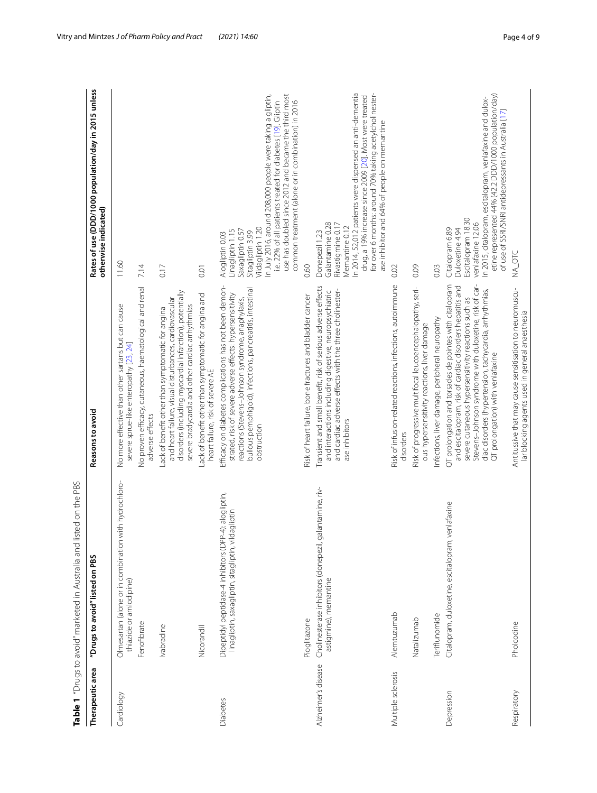|                     | isted on the PBS<br>Table 1 "Drugs to avoid" marketed in Australia and                                             |                                                                                                                                                                                                                                                                                                                                       |                                                                                                                                                                                                                                                                                                                                            |
|---------------------|--------------------------------------------------------------------------------------------------------------------|---------------------------------------------------------------------------------------------------------------------------------------------------------------------------------------------------------------------------------------------------------------------------------------------------------------------------------------|--------------------------------------------------------------------------------------------------------------------------------------------------------------------------------------------------------------------------------------------------------------------------------------------------------------------------------------------|
| Therapeutic area    | "Drugs to avoid" listed on PBS                                                                                     | Reasons to avoid                                                                                                                                                                                                                                                                                                                      | Rates of use (DDD/1000 population/day in 2015 unless<br>otherwise indicated)                                                                                                                                                                                                                                                               |
| Cardiology          | with hydrochloro-<br>Olmesartan (alone or in combination<br>thiazide or amlodipine)                                | No more effective than other sartans but can cause<br>severe sprue-like enteropathy [23, 24]                                                                                                                                                                                                                                          | 11.60                                                                                                                                                                                                                                                                                                                                      |
|                     | Fenofibrate                                                                                                        | No proven efficacy, cutaneous, haematological and renal<br>adverse effects                                                                                                                                                                                                                                                            | 7.14                                                                                                                                                                                                                                                                                                                                       |
|                     | Ivabradine                                                                                                         | disorders (including myocardial infarction), potentially<br>and heart failure, visual disturbances, cardiovascular<br>severe bradycardia and other cardiac arrhythmias<br>Lack of benefit other than symptomatic for angina                                                                                                           | 0.17                                                                                                                                                                                                                                                                                                                                       |
|                     | Nicorandil                                                                                                         | Lack of benefit other than symptomatic for angina and<br>heart failure, risk of severe AE                                                                                                                                                                                                                                             | 0.01                                                                                                                                                                                                                                                                                                                                       |
| <b>Diabetes</b>     | Dipeptidyl peptidase-4 inhibitors (DPP-4): alogliptin,<br>Idagliptin<br>linagliptin, saxagliptin, sitagliptin, vil | Efficacy on diabetes complications has not been demon-<br>bullous pemphigoid), infections, pancreatitis, intestinal<br>strated, risk of severe adverse effects: hypersensitivity<br>reactions (Stevens-Johnson syndrome, anaphylaxis,<br>obstruction                                                                                  | use has doubled since 2012 and became the third most<br>n July 2016, around 208,000 people were taking a gliptin,<br>i.e. 22% of all patients treated for diabetes [19]. Gliptin<br>common treatment (alone or in combination) in 2016<br>Vildagliptin 1.20<br>Saxagliptin 0.57<br>Linagliptin 1.15<br>Sitagliptin 3.99<br>Alogliptin 0.03 |
|                     | Pioglitazone                                                                                                       | Risk of heart failure, bone fractures and bladder cancer                                                                                                                                                                                                                                                                              | 0.60                                                                                                                                                                                                                                                                                                                                       |
| Alzheimer's disease | Cholinesterase inhibitors (donepezil, galantamine, riv-<br>astigmine), memantine                                   | Transient and small benefit, risk of serious adverse effects<br>and cardiac adverse effects with the three cholinester-<br>and interactions including digestive, neuropsychiatric<br>ase inhibitors                                                                                                                                   | In 2014, 52,012 patients were dispensed an anti-dementia<br>for over 6 months: around 70% taking acetylcholinester-<br>drug, a 19% increase since 2009 [20]. Most were treated<br>ase inhibitor and 64% of people on memantine<br>Galantamine 0.28<br>Rivastigmine 0.17<br>Memantine 0.12<br>Donepezil 1.23                                |
| Multiple sclerosis  | Alemtuzumab                                                                                                        | Risk of infusion-related reactions, infections, autoimmune<br>disorders                                                                                                                                                                                                                                                               | 0.02                                                                                                                                                                                                                                                                                                                                       |
|                     | Natalizumab                                                                                                        | Risk of progressive multifocal leucoencephalopathy, seri-<br>ous hypersensitivity reactions, liver damage                                                                                                                                                                                                                             | 0.09                                                                                                                                                                                                                                                                                                                                       |
|                     | Teriflunomide                                                                                                      | nfections, liver damage, peripheral neuropathy                                                                                                                                                                                                                                                                                        | 0.03                                                                                                                                                                                                                                                                                                                                       |
| Depression          | venlafaxine<br>Citalopram, duloxetine, escitalopram,                                                               | QT prolongation and torsades de pointes with citalopram<br>Stevens-Johnson syndrome with duloxetine, risk of car-<br>and escitalopram, risk of cardiac disorders hepatitis and<br>diac disorders (hypertension, tachycardia, arrhythmias,<br>severe cutaneous hypersensitivity reactions such as<br>QT prolongation) with venlafaxine | etine represented 44% (42.2 DDD/1000 population/day)<br>In 2015, citalopram, escitalopram, venlafaxine and dulox-<br>of use of SSR/SNRI antidepressants in Australia [17]<br>Escitalopram 18.30<br>venlafaxine 12.06<br>Citalopram 6.89<br>Duloxetine 4.94                                                                                 |
| Respiratory         | Pholcodine                                                                                                         | Antitussive that may cause sensitisation to neuromuscu-<br>lar blocking agents used in general anaesthesia                                                                                                                                                                                                                            | NA_OTC                                                                                                                                                                                                                                                                                                                                     |

<span id="page-3-0"></span>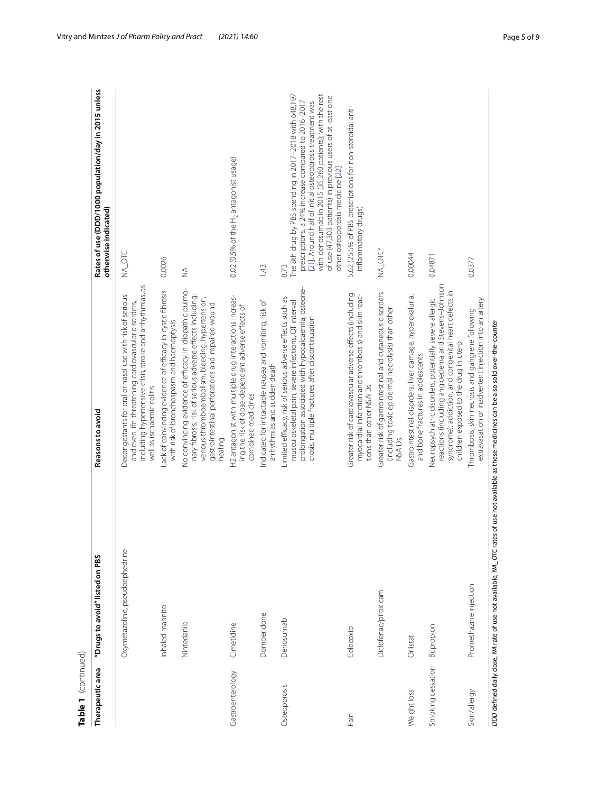| Table 1 (continued) |                                                                                                                                              |                                                                                                                                                                                                                                        |                                                                                                                                                                                                                                                                                                                                               |
|---------------------|----------------------------------------------------------------------------------------------------------------------------------------------|----------------------------------------------------------------------------------------------------------------------------------------------------------------------------------------------------------------------------------------|-----------------------------------------------------------------------------------------------------------------------------------------------------------------------------------------------------------------------------------------------------------------------------------------------------------------------------------------------|
| Therapeutic area    | "Drugs to avoid" listed on PBS                                                                                                               | Reasons to avoid                                                                                                                                                                                                                       | Rates of use (DDD/1000 population/day in 2015 unless<br>otherwise indicated)                                                                                                                                                                                                                                                                  |
|                     | Oxymetazoline, pseudoephedrine                                                                                                               | including hypertensive crisis, stroke and arrhythmias, as<br>Decongestants for oral or nasal use with risk of serious<br>and even life-threatening cardiovascular disorders,<br>well as ischaemic colitis                              | NA_OTC                                                                                                                                                                                                                                                                                                                                        |
|                     | Inhaled mannitol                                                                                                                             | Lack of convincing evidence of efficacy in cystic fibrosis<br>with risk of bronchospasm and haemoptysis                                                                                                                                | 0.0026                                                                                                                                                                                                                                                                                                                                        |
|                     | Nintedanib                                                                                                                                   | No convincing evidence of efficacy in idiopathic pulmo-<br>nary fibrosis, risk of serious adverse effects including:<br>venous thromboembolism, bleeding, hypertension,<br>gastrointestinal perforations and impaired wound<br>healing | $\frac{1}{2}$                                                                                                                                                                                                                                                                                                                                 |
| Gastroenterology    | Cimetidine                                                                                                                                   | H2 antagonist with multiple drug interactions increas-<br>ing the risk of dose-dependent adverse effects of<br>combined medicines                                                                                                      | 0.02 (0.5% of the H <sub>2</sub> antagonist usage)                                                                                                                                                                                                                                                                                            |
|                     | Domperidone                                                                                                                                  | Indicated for intractable nausea and vomiting, risk of<br>arrhythmias and sudden death                                                                                                                                                 | 1.43                                                                                                                                                                                                                                                                                                                                          |
| Osteoporosis        | Denosumab                                                                                                                                    | prolongation associated with hypocalcaemia, osteone-<br>Limited efficacy, risk of serious adverse effects such as<br>musculoskeletal pain, severe infections, QT interval<br>crosis, multiple fractures after discontinuation          | with denosumab in 2015 (35,260 patients); with the rest<br>The 8th drug by PBS spending in 2017-2018 with 648,197<br>of use (47,303 patients) in previous users of at least one<br>[21]. Around half of initial osteoporosis treatment was<br>prescriptions, a 24% increase compared to 2016-2017<br>other osteoporosis medicine [22]<br>8.73 |
| Pain                | Celecoxib                                                                                                                                    | Greater risk of cardiovascular adverse effects (including<br>myocardial infarction and thrombosis) and skin reac-<br>tions than other NSAIDs                                                                                           | 5.62 (25.5% of PBS prescriptions for non-steroidal anti-<br>inflammatory drugs)                                                                                                                                                                                                                                                               |
|                     | Diclofenac/piroxicam                                                                                                                         | Greater risk of gastrointestinal and cutaneous disorders<br>(including toxic epidermal necrolysis) than other<br><b>NSAIDs</b>                                                                                                         | NA_OTC*                                                                                                                                                                                                                                                                                                                                       |
| Weight loss         | Orlistat                                                                                                                                     | Gastrointestinal disorders, liver damage, hyperoxaluria,<br>and bone fractures in adolescents                                                                                                                                          | 0.00044                                                                                                                                                                                                                                                                                                                                       |
| Smoking cessation   | Bupropion                                                                                                                                    | reactions (including angioedema and Stevens-Johnson<br>syndrome), addiction, and congenital heart defects in<br>Neuropsychiatric disorders, potentially severe allergic<br>children exposed to the drug in utero                       | 0.04871                                                                                                                                                                                                                                                                                                                                       |
| Skin/allergy        | Promethazine injection                                                                                                                       | extravasation or inadvertent injection into an artery<br>Thrombosis, skin necrosis and gangrene following                                                                                                                              | 0.0377                                                                                                                                                                                                                                                                                                                                        |
|                     | DDD defined daily dose, MA rate of use not available, MA_OTC rates of use not available as these medicines can be also sold over-the-counter |                                                                                                                                                                                                                                        |                                                                                                                                                                                                                                                                                                                                               |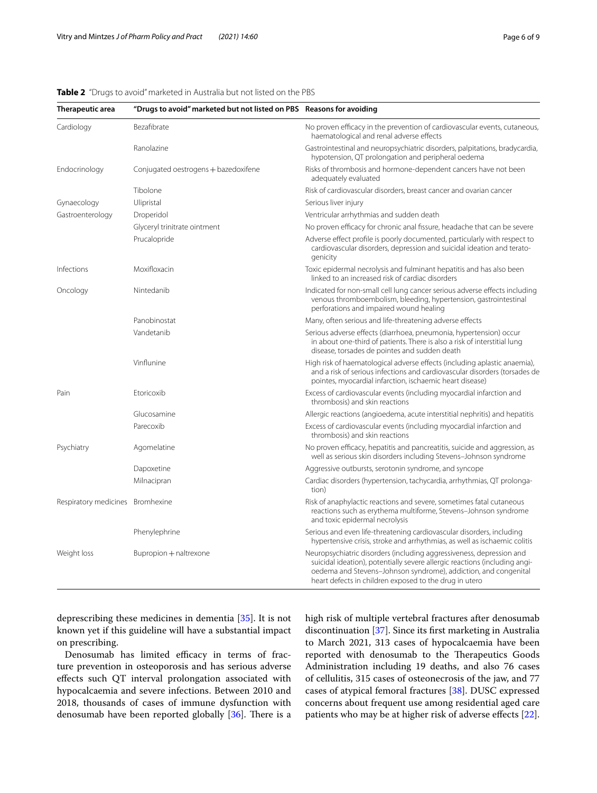<span id="page-5-0"></span>

|  |  |  | <b>Table 2</b> "Drugs to avoid" marketed in Australia but not listed on the PBS |  |  |  |  |  |  |  |  |
|--|--|--|---------------------------------------------------------------------------------|--|--|--|--|--|--|--|--|
|--|--|--|---------------------------------------------------------------------------------|--|--|--|--|--|--|--|--|

| Therapeutic area                 | "Drugs to avoid" marketed but not listed on PBS Reasons for avoiding |                                                                                                                                                                                                                                                                                 |  |  |  |  |  |
|----------------------------------|----------------------------------------------------------------------|---------------------------------------------------------------------------------------------------------------------------------------------------------------------------------------------------------------------------------------------------------------------------------|--|--|--|--|--|
| Cardiology                       | Bezafibrate                                                          | No proven efficacy in the prevention of cardiovascular events, cutaneous,<br>haematological and renal adverse effects                                                                                                                                                           |  |  |  |  |  |
|                                  | Ranolazine                                                           | Gastrointestinal and neuropsychiatric disorders, palpitations, bradycardia,<br>hypotension, QT prolongation and peripheral oedema                                                                                                                                               |  |  |  |  |  |
| Endocrinology                    | Conjugated oestrogens + bazedoxifene                                 | Risks of thrombosis and hormone-dependent cancers have not been<br>adequately evaluated                                                                                                                                                                                         |  |  |  |  |  |
|                                  | Tibolone                                                             | Risk of cardiovascular disorders, breast cancer and ovarian cancer                                                                                                                                                                                                              |  |  |  |  |  |
| Gynaecology                      | Ulipristal                                                           | Serious liver injury                                                                                                                                                                                                                                                            |  |  |  |  |  |
| Gastroenterology                 | Droperidol                                                           | Ventricular arrhythmias and sudden death                                                                                                                                                                                                                                        |  |  |  |  |  |
|                                  | Glyceryl trinitrate ointment                                         | No proven efficacy for chronic anal fissure, headache that can be severe                                                                                                                                                                                                        |  |  |  |  |  |
|                                  | Prucalopride                                                         | Adverse effect profile is poorly documented, particularly with respect to<br>cardiovascular disorders, depression and suicidal ideation and terato-<br>genicity                                                                                                                 |  |  |  |  |  |
| Infections                       | Moxifloxacin                                                         | Toxic epidermal necrolysis and fulminant hepatitis and has also been<br>linked to an increased risk of cardiac disorders                                                                                                                                                        |  |  |  |  |  |
| Oncology                         | Nintedanib                                                           | Indicated for non-small cell lung cancer serious adverse effects including<br>venous thromboembolism, bleeding, hypertension, gastrointestinal<br>perforations and impaired wound healing                                                                                       |  |  |  |  |  |
|                                  | Panobinostat                                                         | Many, often serious and life-threatening adverse effects                                                                                                                                                                                                                        |  |  |  |  |  |
|                                  | Vandetanib                                                           | Serious adverse effects (diarrhoea, pneumonia, hypertension) occur<br>in about one-third of patients. There is also a risk of interstitial lung<br>disease, torsades de pointes and sudden death                                                                                |  |  |  |  |  |
|                                  | Vinflunine                                                           | High risk of haematological adverse effects (including aplastic anaemia),<br>and a risk of serious infections and cardiovascular disorders (torsades de<br>pointes, myocardial infarction, ischaemic heart disease)                                                             |  |  |  |  |  |
| Pain                             | Etoricoxib                                                           | Excess of cardiovascular events (including myocardial infarction and<br>thrombosis) and skin reactions                                                                                                                                                                          |  |  |  |  |  |
|                                  | Glucosamine                                                          | Allergic reactions (angioedema, acute interstitial nephritis) and hepatitis                                                                                                                                                                                                     |  |  |  |  |  |
|                                  | Parecoxib                                                            | Excess of cardiovascular events (including myocardial infarction and<br>thrombosis) and skin reactions                                                                                                                                                                          |  |  |  |  |  |
| Psychiatry                       | Agomelatine                                                          | No proven efficacy, hepatitis and pancreatitis, suicide and aggression, as<br>well as serious skin disorders including Stevens-Johnson syndrome                                                                                                                                 |  |  |  |  |  |
|                                  | Dapoxetine                                                           | Aggressive outbursts, serotonin syndrome, and syncope                                                                                                                                                                                                                           |  |  |  |  |  |
|                                  | Milnacipran                                                          | Cardiac disorders (hypertension, tachycardia, arrhythmias, QT prolonga-<br>tion)                                                                                                                                                                                                |  |  |  |  |  |
| Respiratory medicines Bromhexine |                                                                      | Risk of anaphylactic reactions and severe, sometimes fatal cutaneous<br>reactions such as erythema multiforme, Stevens-Johnson syndrome<br>and toxic epidermal necrolysis                                                                                                       |  |  |  |  |  |
|                                  | Phenylephrine                                                        | Serious and even life-threatening cardiovascular disorders, including<br>hypertensive crisis, stroke and arrhythmias, as well as ischaemic colitis                                                                                                                              |  |  |  |  |  |
| Weight loss                      | Bupropion + naltrexone                                               | Neuropsychiatric disorders (including aggressiveness, depression and<br>suicidal ideation), potentially severe allergic reactions (including angi-<br>oedema and Stevens-Johnson syndrome), addiction, and congenital<br>heart defects in children exposed to the drug in utero |  |  |  |  |  |

deprescribing these medicines in dementia [[35\]](#page-8-19). It is not known yet if this guideline will have a substantial impact on prescribing.

Denosumab has limited efficacy in terms of fracture prevention in osteoporosis and has serious adverse efects such QT interval prolongation associated with hypocalcaemia and severe infections. Between 2010 and 2018, thousands of cases of immune dysfunction with denosumab have been reported globally [\[36](#page-8-20)]. There is a high risk of multiple vertebral fractures after denosumab discontinuation [\[37](#page-8-21)]. Since its frst marketing in Australia to March 2021, 313 cases of hypocalcaemia have been reported with denosumab to the Therapeutics Goods Administration including 19 deaths, and also 76 cases of cellulitis, 315 cases of osteonecrosis of the jaw, and 77 cases of atypical femoral fractures [\[38\]](#page-8-22). DUSC expressed concerns about frequent use among residential aged care patients who may be at higher risk of adverse effects [\[22](#page-8-6)].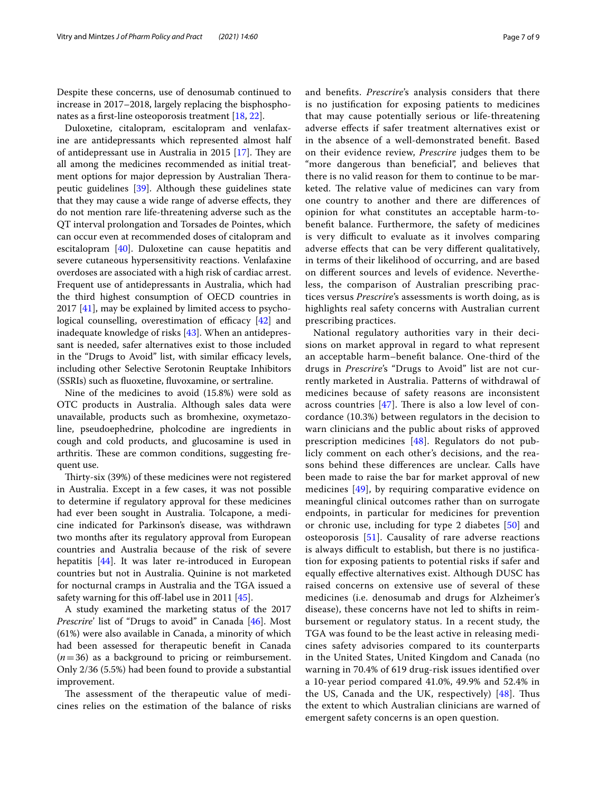Despite these concerns, use of denosumab continued to increase in 2017–2018, largely replacing the bisphosphonates as a frst-line osteoporosis treatment [[18](#page-8-2), [22\]](#page-8-6).

Duloxetine, citalopram, escitalopram and venlafaxine are antidepressants which represented almost half of antidepressant use in Australia in 2015  $[17]$  $[17]$ . They are all among the medicines recommended as initial treatment options for major depression by Australian Therapeutic guidelines [\[39\]](#page-8-23). Although these guidelines state that they may cause a wide range of adverse efects, they do not mention rare life-threatening adverse such as the QT interval prolongation and Torsades de Pointes, which can occur even at recommended doses of citalopram and escitalopram [[40](#page-8-24)]. Duloxetine can cause hepatitis and severe cutaneous hypersensitivity reactions. Venlafaxine overdoses are associated with a high risk of cardiac arrest. Frequent use of antidepressants in Australia, which had the third highest consumption of OECD countries in 2017 [\[41](#page-8-25)], may be explained by limited access to psychological counselling, overestimation of efficacy  $[42]$  $[42]$  and inadequate knowledge of risks [\[43\]](#page-8-27). When an antidepressant is needed, safer alternatives exist to those included in the "Drugs to Avoid" list, with similar efficacy levels, including other Selective Serotonin Reuptake Inhibitors (SSRIs) such as fuoxetine, fuvoxamine, or sertraline.

Nine of the medicines to avoid (15.8%) were sold as OTC products in Australia. Although sales data were unavailable, products such as bromhexine, oxymetazoline, pseudoephedrine, pholcodine are ingredients in cough and cold products, and glucosamine is used in arthritis. These are common conditions, suggesting frequent use.

Thirty-six (39%) of these medicines were not registered in Australia. Except in a few cases, it was not possible to determine if regulatory approval for these medicines had ever been sought in Australia. Tolcapone, a medicine indicated for Parkinson's disease, was withdrawn two months after its regulatory approval from European countries and Australia because of the risk of severe hepatitis [\[44](#page-8-28)]. It was later re-introduced in European countries but not in Australia. Quinine is not marketed for nocturnal cramps in Australia and the TGA issued a safety warning for this off-label use in 2011  $[45]$  $[45]$ .

A study examined the marketing status of the 2017 *Prescrire*' list of "Drugs to avoid" in Canada [\[46\]](#page-8-30). Most (61%) were also available in Canada, a minority of which had been assessed for therapeutic beneft in Canada  $(n=36)$  as a background to pricing or reimbursement. Only 2/36 (5.5%) had been found to provide a substantial improvement.

The assessment of the therapeutic value of medicines relies on the estimation of the balance of risks and benefts. *Prescrire*'s analysis considers that there is no justifcation for exposing patients to medicines that may cause potentially serious or life-threatening adverse efects if safer treatment alternatives exist or in the absence of a well-demonstrated beneft. Based on their evidence review, *Prescrire* judges them to be "more dangerous than benefcial", and believes that there is no valid reason for them to continue to be marketed. The relative value of medicines can vary from one country to another and there are diferences of opinion for what constitutes an acceptable harm-tobeneft balance. Furthermore, the safety of medicines is very difficult to evaluate as it involves comparing adverse efects that can be very diferent qualitatively, in terms of their likelihood of occurring, and are based on diferent sources and levels of evidence. Nevertheless, the comparison of Australian prescribing practices versus *Prescrire*'s assessments is worth doing, as is highlights real safety concerns with Australian current prescribing practices.

National regulatory authorities vary in their decisions on market approval in regard to what represent an acceptable harm–beneft balance. One-third of the drugs in *Prescrire*'s "Drugs to Avoid" list are not currently marketed in Australia. Patterns of withdrawal of medicines because of safety reasons are inconsistent across countries  $[47]$  $[47]$ . There is also a low level of concordance (10.3%) between regulators in the decision to warn clinicians and the public about risks of approved prescription medicines [[48\]](#page-8-32). Regulators do not publicly comment on each other's decisions, and the reasons behind these diferences are unclear. Calls have been made to raise the bar for market approval of new medicines [[49\]](#page-8-33), by requiring comparative evidence on meaningful clinical outcomes rather than on surrogate endpoints, in particular for medicines for prevention or chronic use, including for type 2 diabetes [[50](#page-8-34)] and osteoporosis [[51\]](#page-8-35). Causality of rare adverse reactions is always difficult to establish, but there is no justification for exposing patients to potential risks if safer and equally efective alternatives exist. Although DUSC has raised concerns on extensive use of several of these medicines (i.e. denosumab and drugs for Alzheimer's disease), these concerns have not led to shifts in reimbursement or regulatory status. In a recent study, the TGA was found to be the least active in releasing medicines safety advisories compared to its counterparts in the United States, United Kingdom and Canada (no warning in 70.4% of 619 drug-risk issues identifed over a 10-year period compared 41.0%, 49.9% and 52.4% in the US, Canada and the UK, respectively)  $[48]$  $[48]$  $[48]$ . Thus the extent to which Australian clinicians are warned of emergent safety concerns is an open question.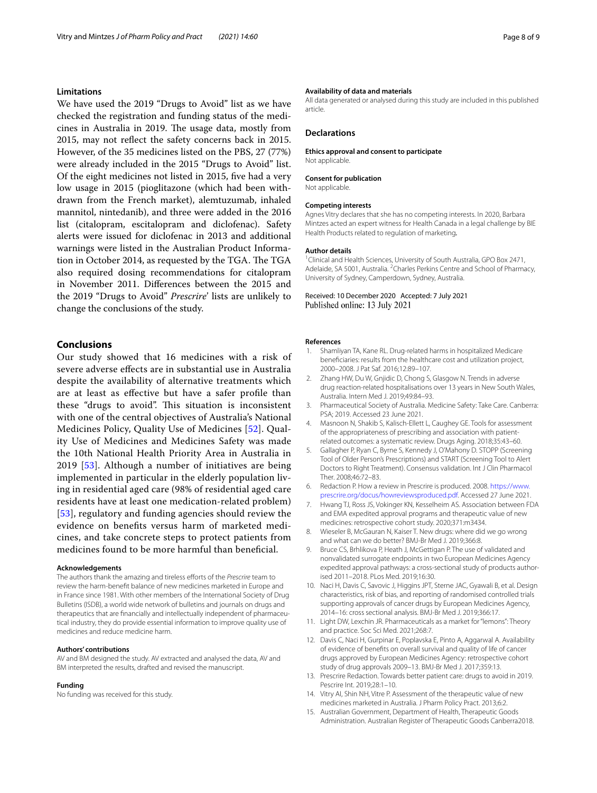#### **Limitations**

We have used the 2019 "Drugs to Avoid" list as we have checked the registration and funding status of the medicines in Australia in 2019. The usage data, mostly from 2015, may not refect the safety concerns back in 2015. However, of the 35 medicines listed on the PBS, 27 (77%) were already included in the 2015 "Drugs to Avoid" list. Of the eight medicines not listed in 2015, fve had a very low usage in 2015 (pioglitazone (which had been withdrawn from the French market), alemtuzumab, inhaled mannitol, nintedanib), and three were added in the 2016 list (citalopram, escitalopram and diclofenac). Safety alerts were issued for diclofenac in 2013 and additional warnings were listed in the Australian Product Information in October 2014, as requested by the TGA. The TGA also required dosing recommendations for citalopram in November 2011. Diferences between the 2015 and the 2019 "Drugs to Avoid" *Prescrire*' lists are unlikely to change the conclusions of the study.

## **Conclusions**

Our study showed that 16 medicines with a risk of severe adverse efects are in substantial use in Australia despite the availability of alternative treatments which are at least as efective but have a safer profle than these "drugs to avoid". This situation is inconsistent with one of the central objectives of Australia's National Medicines Policy, Quality Use of Medicines [[52\]](#page-8-36). Quality Use of Medicines and Medicines Safety was made the 10th National Health Priority Area in Australia in 2019 [\[53](#page-8-37)]. Although a number of initiatives are being implemented in particular in the elderly population living in residential aged care (98% of residential aged care residents have at least one medication-related problem) [[53](#page-8-37)], regulatory and funding agencies should review the evidence on benefts versus harm of marketed medicines, and take concrete steps to protect patients from medicines found to be more harmful than benefcial.

#### **Acknowledgements**

The authors thank the amazing and tireless efforts of the *Prescrire* team to review the harm-beneft balance of new medicines marketed in Europe and in France since 1981. With other members of the International Society of Drug Bulletins (ISDB), a world wide network of bulletins and journals on drugs and therapeutics that are fnancially and intellectually independent of pharmaceutical industry, they do provide essential information to improve quality use of medicines and reduce medicine harm.

#### **Authors' contributions**

AV and BM designed the study. AV extracted and analysed the data, AV and BM interpreted the results, drafted and revised the manuscript.

#### **Funding**

No funding was received for this study.

#### **Availability of data and materials**

All data generated or analysed during this study are included in this published article.

#### **Declarations**

**Ethics approval and consent to participate** Not applicable.

#### **Consent for publication**

Not applicable.

#### **Competing interests**

Agnes Vitry declares that she has no competing interests. In 2020, Barbara Mintzes acted an expert witness for Health Canada in a legal challenge by BIE Health Products related to regulation of marketing*.*

#### **Author details**

<sup>1</sup> Clinical and Health Sciences, University of South Australia, GPO Box 2471, Adelaide, SA 5001, Australia. <sup>2</sup> Charles Perkins Centre and School of Pharmacy, University of Sydney, Camperdown, Sydney, Australia.

Received: 10 December 2020 Accepted: 7 July 2021 Published online: 13 July 2021

#### **References**

- <span id="page-7-0"></span>Shamliyan TA, Kane RL. Drug-related harms in hospitalized Medicare benefciaries: results from the healthcare cost and utilization project, 2000–2008. J Pat Saf. 2016;12:89–107.
- <span id="page-7-1"></span>2. Zhang HW, Du W, Gnjidic D, Chong S, Glasgow N. Trends in adverse drug reaction-related hospitalisations over 13 years in New South Wales, Australia. Intern Med J. 2019;49:84–93.
- <span id="page-7-2"></span>3. Pharmaceutical Society of Australia. Medicine Safety: Take Care. Canberra: PSA; 2019. Accessed 23 June 2021.
- <span id="page-7-3"></span>4. Masnoon N, Shakib S, Kalisch-Ellett L, Caughey GE. Tools for assessment of the appropriateness of prescribing and association with patientrelated outcomes: a systematic review. Drugs Aging. 2018;35:43–60.
- <span id="page-7-4"></span>5. Gallagher P, Ryan C, Byrne S, Kennedy J, O'Mahony D. STOPP (Screening Tool of Older Person's Prescriptions) and START (Screening Tool to Alert Doctors to Right Treatment). Consensus validation. Int J Clin Pharmacol Ther. 2008;46:72–83.
- <span id="page-7-5"></span>6. Redaction P. How a review in Prescrire is produced. 2008. [https://www.](https://www.prescrire.org/docus/howreviewsproduced.pdf) [prescrire.org/docus/howreviewsproduced.pdf.](https://www.prescrire.org/docus/howreviewsproduced.pdf) Accessed 27 June 2021.
- <span id="page-7-6"></span>7. Hwang TJ, Ross JS, Vokinger KN, Kesselheim AS. Association between FDA and EMA expedited approval programs and therapeutic value of new medicines: retrospective cohort study. 2020;371:m3434.
- <span id="page-7-7"></span>8. Wieseler B, McGauran N, Kaiser T. New drugs: where did we go wrong and what can we do better? BMJ-Br Med J. 2019;366:8.
- 9. Bruce CS, Brhlikova P, Heath J, McGettigan P. The use of validated and nonvalidated surrogate endpoints in two European Medicines Agency expedited approval pathways: a cross-sectional study of products authorised 2011–2018. PLos Med. 2019;16:30.
- 10. Naci H, Davis C, Savovic J, Higgins JPT, Sterne JAC, Gyawali B, et al. Design characteristics, risk of bias, and reporting of randomised controlled trials supporting approvals of cancer drugs by European Medicines Agency, 2014–16: cross sectional analysis. BMJ-Br Med J. 2019;366:17.
- <span id="page-7-8"></span>11. Light DW, Lexchin JR. Pharmaceuticals as a market for "lemons": Theory and practice. Soc Sci Med. 2021;268:7.
- <span id="page-7-9"></span>12. Davis C, Naci H, Gurpinar E, Poplavska E, Pinto A, Aggarwal A. Availability of evidence of benefts on overall survival and quality of life of cancer drugs approved by European Medicines Agency: retrospective cohort study of drug approvals 2009–13. BMJ-Br Med J. 2017;359:13.
- <span id="page-7-10"></span>13. Prescrire Redaction. Towards better patient care: drugs to avoid in 2019. Pescrire Int. 2019;28:1–10.
- <span id="page-7-11"></span>14. Vitry AI, Shin NH, Vitre P. Assessment of the therapeutic value of new medicines marketed in Australia. J Pharm Policy Pract. 2013;6:2.
- <span id="page-7-12"></span>15. Australian Government, Department of Health, Therapeutic Goods Administration. Australian Register of Therapeutic Goods Canberra2018.